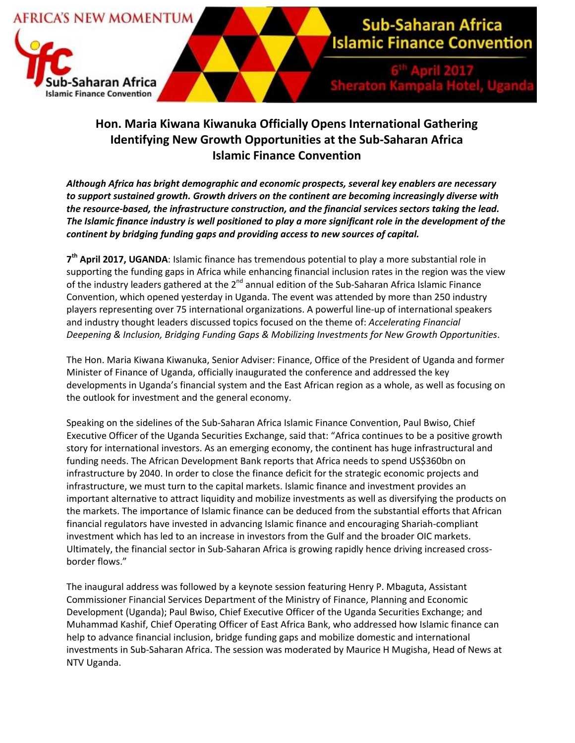

## **Hon. Maria Kiwana Kiwanuka Officially Opens International Gathering Identifying New Growth Opportunities at the Sub-Saharan Africa Islamic Finance Convention**

*Although Africa has bright demographic and economic prospects, several key enablers are necessary to support sustained growth. Growth drivers on the continent are becoming increasingly diverse with the resource-based, the infrastructure construction, and the financial services sectors taking the lead. The Islamic finance industry is well positioned to play a more significant role in the development of the continent by bridging funding gaps and providing access to new sources of capital.*

**7 th April 2017, UGANDA**: Islamic finance has tremendous potential to play a more substantial role in supporting the funding gaps in Africa while enhancing financial inclusion rates in the region was the view of the industry leaders gathered at the 2<sup>nd</sup> annual edition of the Sub-Saharan Africa Islamic Finance Convention, which opened yesterday in Uganda. The event was attended by more than 250 industry players representing over 75 international organizations. A powerful line-up of international speakers and industry thought leaders discussed topics focused on the theme of: *Accelerating Financial Deepening & Inclusion, Bridging Funding Gaps & Mobilizing Investments for New Growth Opportunities*.

The Hon. Maria Kiwana Kiwanuka, Senior Adviser: Finance, Office of the President of Uganda and former Minister of Finance of Uganda, officially inaugurated the conference and addressed the key developments in Uganda's financial system and the East African region as a whole, as well as focusing on the outlook for investment and the general economy.

Speaking on the sidelines of the Sub-Saharan Africa Islamic Finance Convention, Paul Bwiso, Chief Executive Officer of the Uganda Securities Exchange, said that: "Africa continues to be a positive growth story for international investors. As an emerging economy, the continent has huge infrastructural and funding needs. The African Development Bank reports that Africa needs to spend US\$360bn on infrastructure by 2040. In order to close the finance deficit for the strategic economic projects and infrastructure, we must turn to the capital markets. Islamic finance and investment provides an important alternative to attract liquidity and mobilize investments as well as diversifying the products on the markets. The importance of Islamic finance can be deduced from the substantial efforts that African financial regulators have invested in advancing Islamic finance and encouraging Shariah-compliant investment which has led to an increase in investors from the Gulf and the broader OIC markets. Ultimately, the financial sector in Sub-Saharan Africa is growing rapidly hence driving increased crossborder flows."

The inaugural address was followed by a keynote session featuring Henry P. Mbaguta, Assistant Commissioner Financial Services Department of the Ministry of Finance, Planning and Economic Development (Uganda); Paul Bwiso, Chief Executive Officer of the Uganda Securities Exchange; and Muhammad Kashif, Chief Operating Officer of East Africa Bank, who addressed how Islamic finance can help to advance financial inclusion, bridge funding gaps and mobilize domestic and international investments in Sub-Saharan Africa. The session was moderated by Maurice H Mugisha, Head of News at NTV Uganda.